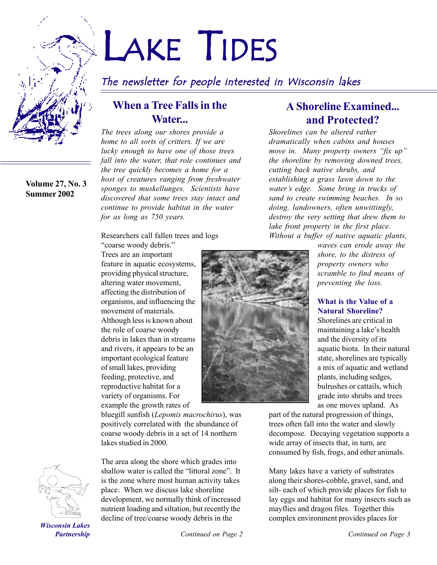

**Volume 27, No. 3 Summer 2002**

# LAKE TIDES

# The newsletter for people interested in Wisconsin lakes

## **When a Tree Falls in the Water...**

*The trees along our shores provide a home to all sorts of critters. If we are lucky enough to have one of those trees fall into the water, that role continues and the tree quickly becomes a home for a host of creatures ranging from freshwater sponges to muskellunges. Scientists have discovered that some trees stay intact and continue to provide habitat in the water for as long as 750 years.*

## Researchers call fallen trees and logs

"coarse woody debris." Trees are an important feature in aquatic ecosystems, providing physical structure, altering water movement, affecting the distribution of organisms, and influencing the movement of materials. Although less is known about the role of coarse woody debris in lakes than in streams and rivers, it appears to be an important ecological feature of small lakes, providing feeding, protective, and reproductive habitat for a variety of organisms. For example the growth rates of

bluegill sunfish (*Lepomis macrochirus*), was positively correlated with the abundance of coarse woody debris in a set of 14 northern lakes studied in 2000.



The area along the shore which grades into shallow water is called the "littoral zone". It is the zone where most human activity takes place. When we discuss lake shoreline development, we normally think of increased nutrient loading and siltation, but recently the decline of tree/coarse woody debris in the

# **A Shoreline Examined... and Protected?**

*Shorelines can be altered rather dramatically when cabins and houses move in. Many property owners "fix up" the shoreline by removing downed trees, cutting back native shrubs, and establishing a grass lawn down to the waterís edge. Some bring in trucks of sand to create swimming beaches. In so doing, landowners, often unwittingly, destroy the very setting that drew them to lake front property in the first place. Without a buffer of native aquatic plants,*

*waves can erode away the shore, to the distress of property owners who scramble to find means of*

## **What is the Value of a Natural Shoreline?**

*preventing the loss.*

Shorelines are critical in maintaining a lake's health and the diversity of its aquatic biota. In their natural state, shorelines are typically a mix of aquatic and wetland plants, including sedges, bulrushes or cattails, which grade into shrubs and trees as one moves upland. As

part of the natural progression of things, trees often fall into the water and slowly decompose. Decaying vegetation supports a wide array of insects that, in turn, are consumed by fish, frogs, and other animals.

Many lakes have a variety of substrates along their shores-cobble, gravel, sand, and silt- each of which provide places for fish to lay eggs and habitat for many insects such as mayflies and dragon files. Together this complex environment provides places for

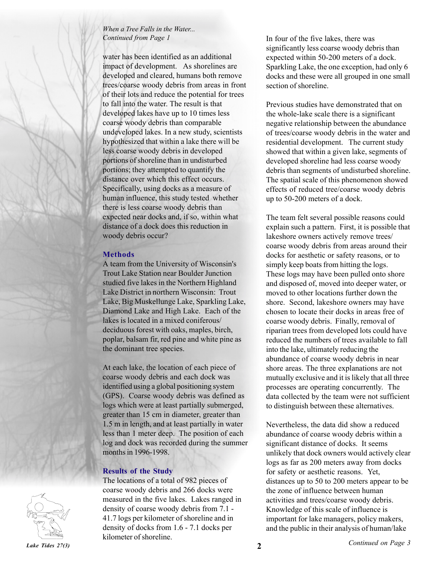## *When a Tree Falls in the Water... Continued from Page 1*

water has been identified as an additional impact of development. As shorelines are developed and cleared, humans both remove trees/coarse woody debris from areas in front of their lots and reduce the potential for trees to fall into the water. The result is that developed lakes have up to 10 times less coarse woody debris than comparable undeveloped lakes. In a new study, scientists hypothesized that within a lake there will be less coarse woody debris in developed portions of shoreline than in undisturbed portions; they attempted to quantify the distance over which this effect occurs. Specifically, using docks as a measure of human influence, this study tested whether there is less coarse woody debris than expected near docks and, if so, within what distance of a dock does this reduction in woody debris occur?

## **Methods**

A team from the University of Wisconsin's Trout Lake Station near Boulder Junction studied five lakes in the Northern Highland Lake District in northern Wisconsin: Trout Lake, Big Muskellunge Lake, Sparkling Lake, Diamond Lake and High Lake. Each of the lakes is located in a mixed coniferous/ deciduous forest with oaks, maples, birch, poplar, balsam fir, red pine and white pine as the dominant tree species.

At each lake, the location of each piece of coarse woody debris and each dock was identified using a global positioning system (GPS). Coarse woody debris was defined as logs which were at least partially submerged, greater than 15 cm in diameter, greater than 1.5 m in length, and at least partially in water less than 1 meter deep. The position of each log and dock was recorded during the summer months in 1996-1998.

## **Results of the Study**

The locations of a total of 982 pieces of coarse woody debris and 266 docks were measured in the five lakes. Lakes ranged in density of coarse woody debris from 7.1 - 41.7 logs per kilometer of shoreline and in density of docks from 1.6 - 7.1 docks per kilometer of shoreline.

In four of the five lakes, there was significantly less coarse woody debris than expected within 50-200 meters of a dock. Sparkling Lake, the one exception, had only 6 docks and these were all grouped in one small section of shoreline.

Previous studies have demonstrated that on the whole-lake scale there is a significant negative relationship between the abundance of trees/coarse woody debris in the water and residential development. The current study showed that within a given lake, segments of developed shoreline had less coarse woody debris than segments of undisturbed shoreline. The spatial scale of this phenomenon showed effects of reduced tree/coarse woody debris up to 50-200 meters of a dock.

The team felt several possible reasons could explain such a pattern. First, it is possible that lakeshore owners actively remove trees/ coarse woody debris from areas around their docks for aesthetic or safety reasons, or to simply keep boats from hitting the logs. These logs may have been pulled onto shore and disposed of, moved into deeper water, or moved to other locations further down the shore. Second, lakeshore owners may have chosen to locate their docks in areas free of coarse woody debris. Finally, removal of riparian trees from developed lots could have reduced the numbers of trees available to fall into the lake, ultimately reducing the abundance of coarse woody debris in near shore areas. The three explanations are not mutually exclusive and it is likely that all three processes are operating concurrently. The data collected by the team were not sufficient to distinguish between these alternatives.

Nevertheless, the data did show a reduced abundance of coarse woody debris within a significant distance of docks. It seems unlikely that dock owners would actively clear logs as far as 200 meters away from docks for safety or aesthetic reasons. Yet, distances up to 50 to 200 meters appear to be the zone of influence between human activities and trees/coarse woody debris. Knowledge of this scale of influence is important for lake managers, policy makers, and the public in their analysis of human/lake

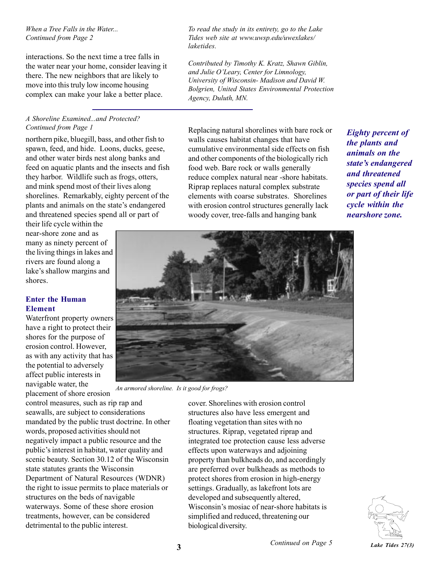#### *When a Tree Falls in the Water... Continued from Page 2*

interactions. So the next time a tree falls in the water near your home, consider leaving it there. The new neighbors that are likely to move into this truly low income housing complex can make your lake a better place.

#### *A Shoreline Examined...and Protected? Continued from Page 1*

northern pike, bluegill, bass, and other fish to spawn, feed, and hide. Loons, ducks, geese, and other water birds nest along banks and feed on aquatic plants and the insects and fish they harbor. Wildlife such as frogs, otters, and mink spend most of their lives along shorelines. Remarkably, eighty percent of the plants and animals on the state's endangered and threatened species spend all or part of

their life cycle within the near-shore zone and as many as ninety percent of the living things in lakes and rivers are found along a lake's shallow margins and shores.

## **Enter the Human Element**

Waterfront property owners have a right to protect their shores for the purpose of erosion control. However, as with any activity that has the potential to adversely affect public interests in navigable water, the placement of shore erosion

control measures, such as rip rap and seawalls, are subject to considerations mandated by the public trust doctrine. In other words, proposed activities should not negatively impact a public resource and the public's interest in habitat, water quality and scenic beauty. Section 30.12 of the Wisconsin state statutes grants the Wisconsin Department of Natural Resources (WDNR) the right to issue permits to place materials or structures on the beds of navigable waterways. Some of these shore erosion treatments, however, can be considered detrimental to the public interest.

*To read the study in its entirety, go to the Lake Tides web site at www.uwsp.edu/uwexlakes/ laketides.*

*Contributed by Timothy K. Kratz, Shawn Giblin, and Julie OíLeary, Center for Limnology, University of Wisconsin- Madison and David W. Bolgrien, United States Environmental Protection Agency, Duluth, MN.*

Replacing natural shorelines with bare rock or walls causes habitat changes that have cumulative environmental side effects on fish and other components of the biologically rich food web. Bare rock or walls generally reduce complex natural near -shore habitats. Riprap replaces natural complex substrate elements with coarse substrates. Shorelines with erosion control structures generally lack woody cover, tree-falls and hanging bank

*Eighty percent of the plants and animals on the state's endangered and threatened species spend all or part of their life cycle within the nearshore zone.*



*An armored shoreline. Is it good for frogs?*

cover. Shorelines with erosion control structures also have less emergent and floating vegetation than sites with no structures. Riprap, vegetated riprap and integrated toe protection cause less adverse effects upon waterways and adjoining property than bulkheads do, and accordingly are preferred over bulkheads as methods to protect shores from erosion in high-energy settings. Gradually, as lakefront lots are developed and subsequently altered, Wisconsin's mosiac of near-shore habitats is simplified and reduced, threatening our biological diversity.

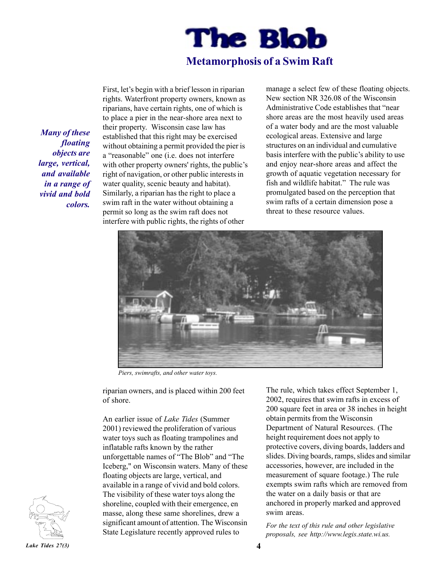

## **Metamorphosis of a Swim Raft**

*Many of these floating objects are large, vertical, and available in a range of vivid and bold colors.*

First, let's begin with a brief lesson in riparian rights. Waterfront property owners, known as riparians, have certain rights, one of which is to place a pier in the near-shore area next to their property. Wisconsin case law has established that this right may be exercised without obtaining a permit provided the pier is a "reasonable" one (i.e. does not interfere with other property owners' rights, the public's right of navigation, or other public interests in water quality, scenic beauty and habitat). Similarly, a riparian has the right to place a swim raft in the water without obtaining a permit so long as the swim raft does not interfere with public rights, the rights of other

manage a select few of these floating objects. New section NR 326.08 of the Wisconsin Administrative Code establishes that "near shore areas are the most heavily used areas of a water body and are the most valuable ecological areas. Extensive and large structures on an individual and cumulative basis interfere with the public's ability to use and enjoy near-shore areas and affect the growth of aquatic vegetation necessary for fish and wildlife habitat." The rule was promulgated based on the perception that swim rafts of a certain dimension pose a threat to these resource values.



*Piers, swimrafts, and other water toys.*

riparian owners, and is placed within 200 feet of shore.

An earlier issue of *Lake Tides* (Summer 2001) reviewed the proliferation of various water toys such as floating trampolines and inflatable rafts known by the rather unforgettable names of "The Blob" and "The Iceberg," on Wisconsin waters. Many of these floating objects are large, vertical, and available in a range of vivid and bold colors. The visibility of these water toys along the shoreline, coupled with their emergence, en masse, along these same shorelines, drew a significant amount of attention. The Wisconsin State Legislature recently approved rules to

The rule, which takes effect September 1, 2002, requires that swim rafts in excess of 200 square feet in area or 38 inches in height obtain permits from the Wisconsin Department of Natural Resources. (The height requirement does not apply to protective covers, diving boards, ladders and slides. Diving boards, ramps, slides and similar accessories, however, are included in the measurement of square footage.) The rule exempts swim rafts which are removed from the water on a daily basis or that are anchored in properly marked and approved swim areas.

*For the text of this rule and other legislative proposals, see http://www.legis.state.wi.us.*

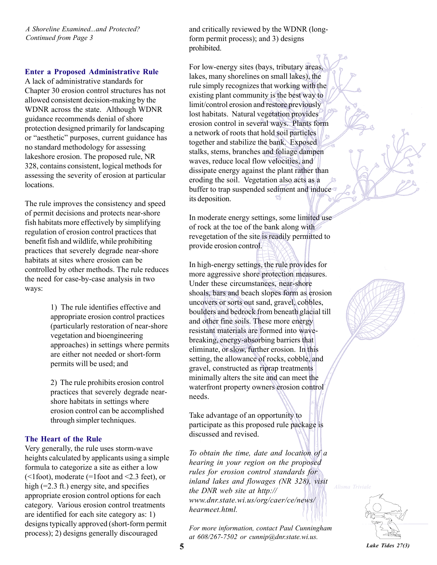*A Shoreline Examined...and Protected? Continued from Page 3*

#### **Enter a Proposed Administrative Rule**

A lack of administrative standards for Chapter 30 erosion control structures has not allowed consistent decision-making by the WDNR across the state. Although WDNR guidance recommends denial of shore protection designed primarily for landscaping or "aesthetic" purposes, current guidance has no standard methodology for assessing lakeshore erosion. The proposed rule, NR 328, contains consistent, logical methods for assessing the severity of erosion at particular locations.

The rule improves the consistency and speed of permit decisions and protects near-shore fish habitats more effectively by simplifying regulation of erosion control practices that benefit fish and wildlife, while prohibiting practices that severely degrade near-shore habitats at sites where erosion can be controlled by other methods. The rule reduces the need for case-by-case analysis in two ways:

> 1) The rule identifies effective and appropriate erosion control practices (particularly restoration of near-shore vegetation and bioengineering approaches) in settings where permits are either not needed or short-form permits will be used; and

2) The rule prohibits erosion control practices that severely degrade nearshore habitats in settings where erosion control can be accomplished through simpler techniques.

#### **The Heart of the Rule**

Very generally, the rule uses storm-wave heights calculated by applicants using a simple formula to categorize a site as either a low (<1foot), moderate (=1foot and <2.3 feet), or high (=2.3 ft.) energy site, and specifies appropriate erosion control options for each category. Various erosion control treatments are identified for each site category as: 1) designs typically approved (short-form permit process); 2) designs generally discouraged

and critically reviewed by the WDNR (longform permit process); and 3) designs prohibited.

For low-energy sites (bays, tributary areas, lakes, many shorelines on small lakes), the rule simply recognizes that working with the existing plant community is the best way to limit/control erosion and restore previously lost habitats. Natural vegetation provides erosion control in several ways. Plants form a network of roots that hold soil particles together and stabilize the bank. Exposed stalks, stems, branches and foliage dampen waves, reduce local flow velocities, and dissipate energy against the plant rather than eroding the soil. Vegetation also acts as a buffer to trap suspended sediment and induce its deposition.  $\mathfrak{D}$ 

In moderate energy settings, some limited use of rock at the toe of the bank along with revegetation of the site is readily permitted to provide erosion control.

In high-energy settings, the rule provides for more aggressive shore protection measures. Under these circumstances, near-shore shoals, bars and beach slopes form as erosion uncovers or sorts out sand, gravel, cobbles, boulders and bedrock from beneath glacial till and other fine soils. These more energy resistant materials are formed into wavebreaking, energy-absorbing barriers that eliminate, or slow, further erosion. In this setting, the allowance of rocks, cobble, and gravel, constructed as riprap treatments minimally alters the site and can meet the waterfront property owners erosion control needs.

Take advantage of an opportunity to participate as this proposed rule package is discussed and revised.

*To obtain the time, date and location of a hearing in your region on the proposed rules for erosion control standards for inland lakes and flowages (NR 328), visit the DNR web site at http:// www.dnr.state.wi.us/org/caer/ce/news/ hearmeet.html.*

*For more information, contact Paul Cunningham at 608/267-7502 or cunnip@dnr.state.wi.us.*





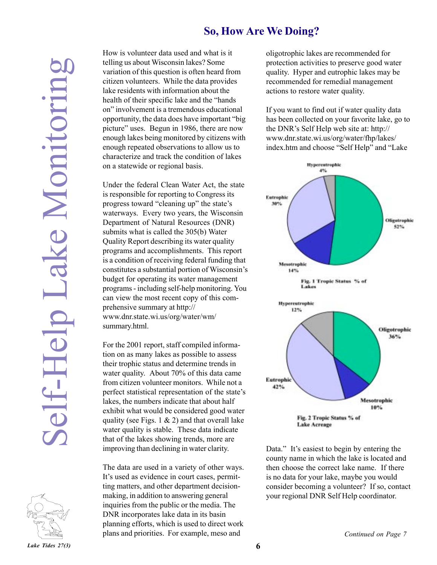## **So, How Are We Doing?**



How is volunteer data used and what is it telling us about Wisconsin lakes? Some variation of this question is often heard from citizen volunteers. While the data provides lake residents with information about the health of their specific lake and the "hands" on" involvement is a tremendous educational opportunity, the data does have important "big" picture" uses. Begun in 1986, there are now enough lakes being monitored by citizens with enough repeated observations to allow us to characterize and track the condition of lakes on a statewide or regional basis.

**Lake the distribution of the distribution**<br> **Lake Testidents** white the data providence was the standard the "hands<br>
or providincent is a fraction of the standard experiment in the monitor of the data does line in proton Under the federal Clean Water Act, the state is responsible for reporting to Congress its progress toward "cleaning up" the state's waterways. Every two years, the Wisconsin Department of Natural Resources (DNR) submits what is called the 305(b) Water Quality Report describing its water quality programs and accomplishments. This report is a condition of receiving federal funding that constitutes a substantial portion of Wisconsin's budget for operating its water management programs - including self-help monitoring. You can view the most recent copy of this comprehensive summary at http:// www.dnr.state.wi.us/org/water/wm/ summary.html.

For the 2001 report, staff compiled information on as many lakes as possible to assess their trophic status and determine trends in water quality. About 70% of this data came from citizen volunteer monitors. While not a perfect statistical representation of the state's lakes, the numbers indicate that about half exhibit what would be considered good water quality (see Figs. 1  $\&$  2) and that overall lake water quality is stable. These data indicate that of the lakes showing trends, more are improving than declining in water clarity.

The data are used in a variety of other ways. It's used as evidence in court cases, permitting matters, and other department decisionmaking, in addition to answering general inquiries from the public or the media. The DNR incorporates lake data in its basin planning efforts, which is used to direct work plans and priorities. For example, meso and

oligotrophic lakes are recommended for protection activities to preserve good water quality. Hyper and eutrophic lakes may be recommended for remedial management actions to restore water quality.

If you want to find out if water quality data has been collected on your favorite lake, go to the DNR's Self Help web site at: http:// www.dnr.state.wi.us/org/water/fhp/lakes/ index.htm and choose "Self Help" and "Lake



Data." It's easiest to begin by entering the county name in which the lake is located and then choose the correct lake name. If there is no data for your lake, maybe you would consider becoming a volunteer? If so, contact your regional DNR Self Help coordinator.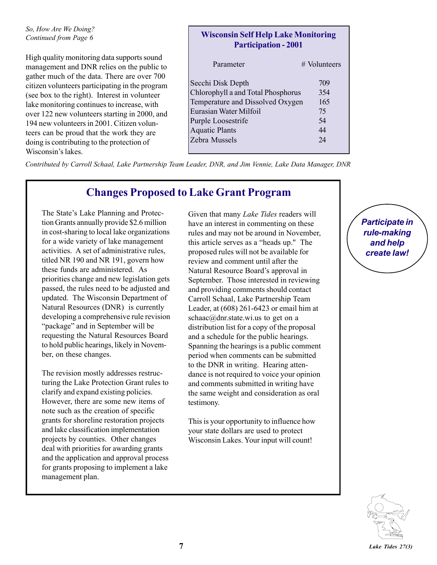#### *So, How Are We Doing? Continued from Page 6*

High quality monitoring data supports sound management and DNR relies on the public to gather much of the data. There are over 700 citizen volunteers participating in the program (see box to the right). Interest in volunteer lake monitoring continues to increase, with over 122 new volunteers starting in 2000, and 194 new volunteers in 2001. Citizen volunteers can be proud that the work they are doing is contributing to the protection of Wisconsin's lakes

## **Wisconsin Self Help Lake Monitoring Participation - 2001**

| Parameter                          | $#$ Volunteers |
|------------------------------------|----------------|
| Secchi Disk Depth                  | 709            |
| Chlorophyll a and Total Phosphorus | 354            |
| Temperature and Dissolved Oxygen   | 165            |
| Eurasian Water Milfoil             | 75             |
| Purple Loosestrife                 | 54             |
| <b>Aquatic Plants</b>              | 44             |
| Zebra Mussels                      | 24             |

*Contributed by Carroll Schaal, Lake Partnership Team Leader, DNR, and Jim Vennie, Lake Data Manager, DNR*

## **Changes Proposed to Lake Grant Program**

The State's Lake Planning and Protection Grants annually provide \$2.6 million in cost-sharing to local lake organizations for a wide variety of lake management activities. A set of administrative rules, titled NR 190 and NR 191, govern how these funds are administered. As priorities change and new legislation gets passed, the rules need to be adjusted and updated. The Wisconsin Department of Natural Resources (DNR) is currently developing a comprehensive rule revision "package" and in September will be requesting the Natural Resources Board to hold public hearings, likely in November, on these changes.

The revision mostly addresses restructuring the Lake Protection Grant rules to clarify and expand existing policies. However, there are some new items of note such as the creation of specific grants for shoreline restoration projects and lake classification implementation projects by counties. Other changes deal with priorities for awarding grants and the application and approval process for grants proposing to implement a lake management plan.

Given that many *Lake Tides* readers will have an interest in commenting on these rules and may not be around in November, this article serves as a "heads up." The proposed rules will not be available for review and comment until after the Natural Resource Board's approval in September. Those interested in reviewing and providing comments should contact Carroll Schaal, Lake Partnership Team Leader, at (608) 261-6423 or email him at schaac@dnr.state.wi.us to get on a distribution list for a copy of the proposal and a schedule for the public hearings. Spanning the hearings is a public comment period when comments can be submitted to the DNR in writing. Hearing attendance is not required to voice your opinion and comments submitted in writing have the same weight and consideration as oral testimony.

This is your opportunity to influence how your state dollars are used to protect Wisconsin Lakes. Your input will count!

*Participate in rule-making and help create law!*

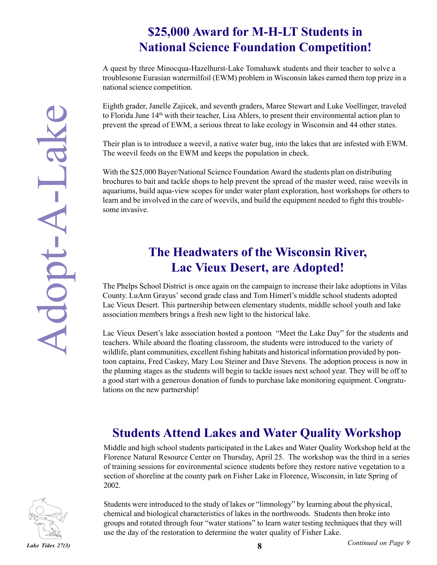# **\$25,000 Award for M-H-LT Students in National Science Foundation Competition!**

A quest by three Minocqua-Hazelhurst-Lake Tomahawk students and their teacher to solve a troublesome Eurasian watermilfoil (EWM) problem in Wisconsin lakes earned them top prize in a national science competition.

Eighth grader, Janelle Zajicek, and seventh graders, Maree Stewart and Luke Voellinger, traveled to Florida June 14th with their teacher, Lisa Ahlers, to present their environmental action plan to prevent the spread of EWM, a serious threat to lake ecology in Wisconsin and 44 other states.

Their plan is to introduce a weevil, a native water bug, into the lakes that are infested with EWM. The weevil feeds on the EWM and keeps the population in check.

With the \$25,000 Bayer/National Science Foundation Award the students plan on distributing brochures to bait and tackle shops to help prevent the spread of the master weed, raise weevils in aquariums, build aqua-view scopes for under water plant exploration, host workshops for others to learn and be involved in the care of weevils, and build the equipment needed to fight this troublesome invasive. And the Misconsin and the capture and the campaign to increase the sevent and the campaign, the provide the spread of EWM, a serious threat to lake ecology in Wisconsin and 44 other states.<br>The wever lies on the EWM ad kee

# **The Headwaters of the Wisconsin River, Lac Vieux Desert, are Adopted!**

County. LuAnn Grayus' second grade class and Tom Himerl's middle school students adopted Lac Vieux Desert. This partnership between elementary students, middle school youth and lake association members brings a fresh new light to the historical lake.

Lac Vieux Desert's lake association hosted a pontoon "Meet the Lake Day" for the students and teachers. While aboard the floating classroom, the students were introduced to the variety of wildlife, plant communities, excellent fishing habitats and historical information provided by pontoon captains, Fred Caskey, Mary Lou Steiner and Dave Stevens. The adoption process is now in the planning stages as the students will begin to tackle issues next school year. They will be off to a good start with a generous donation of funds to purchase lake monitoring equipment. Congratulations on the new partnership!

# **Students Attend Lakes and Water Quality Workshop**

Middle and high school students participated in the Lakes and Water Quality Workshop held at the Florence Natural Resource Center on Thursday, April 25. The workshop was the third in a series of training sessions for environmental science students before they restore native vegetation to a section of shoreline at the county park on Fisher Lake in Florence, Wisconsin, in late Spring of 2002.



Students were introduced to the study of lakes or "limnology" by learning about the physical, chemical and biological characteristics of lakes in the northwoods. Students then broke into groups and rotated through four "water stations" to learn water testing techniques that they will use the day of the restoration to determine the water quality of Fisher Lake.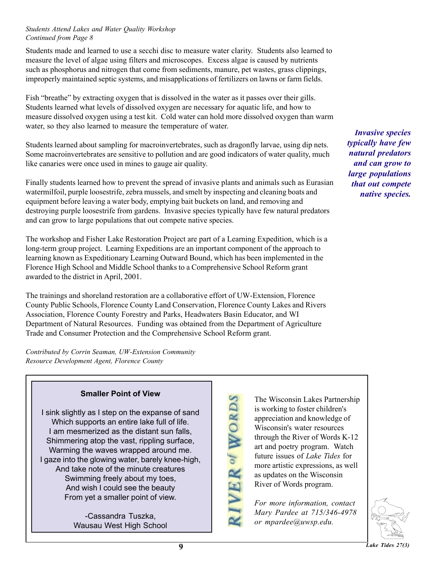## *Students Attend Lakes and Water Quality Workshop Continued from Page 8*

Students made and learned to use a secchi disc to measure water clarity. Students also learned to measure the level of algae using filters and microscopes. Excess algae is caused by nutrients such as phosphorus and nitrogen that come from sediments, manure, pet wastes, grass clippings, improperly maintained septic systems, and misapplications of fertilizers on lawns or farm fields.

Fish "breathe" by extracting oxygen that is dissolved in the water as it passes over their gills. Students learned what levels of dissolved oxygen are necessary for aquatic life, and how to measure dissolved oxygen using a test kit. Cold water can hold more dissolved oxygen than warm water, so they also learned to measure the temperature of water.

Students learned about sampling for macroinvertebrates, such as dragonfly larvae, using dip nets. Some macroinvertebrates are sensitive to pollution and are good indicators of water quality, much like canaries were once used in mines to gauge air quality.

Finally students learned how to prevent the spread of invasive plants and animals such as Eurasian watermilfoil, purple loosestrife, zebra mussels, and smelt by inspecting and cleaning boats and equipment before leaving a water body, emptying bait buckets on land, and removing and destroying purple loosestrife from gardens. Invasive species typically have few natural predators and can grow to large populations that out compete native species.

The workshop and Fisher Lake Restoration Project are part of a Learning Expedition, which is a long-term group project. Learning Expeditions are an important component of the approach to learning known as Expeditionary Learning Outward Bound, which has been implemented in the Florence High School and Middle School thanks to a Comprehensive School Reform grant awarded to the district in April, 2001.

The trainings and shoreland restoration are a collaborative effort of UW-Extension, Florence County Public Schools, Florence County Land Conservation, Florence County Lakes and Rivers Association, Florence County Forestry and Parks, Headwaters Basin Educator, and WI Department of Natural Resources. Funding was obtained from the Department of Agriculture Trade and Consumer Protection and the Comprehensive School Reform grant.

*Contributed by Corrin Seaman, UW-Extension Community Resource Development Agent, Florence County*

## **Smaller Point of View**

I sink slightly as I step on the expanse of sand Which supports an entire lake full of life. I am mesmerized as the distant sun falls, Shimmering atop the vast, rippling surface, Warming the waves wrapped around me. I gaze into the glowing water, barely knee-high, And take note of the minute creatures Swimming freely about my toes, And wish I could see the beauty From yet a smaller point of view.

> -Cassandra Tuszka, Wausau West High School

The Wisconsin Lakes Partnership is working to foster children's appreciation and knowledge of Wisconsin's water resources through the River of Words K-12 art and poetry program. Watch future issues of *Lake Tides* for more artistic expressions, as well as updates on the Wisconsin River of Words program.

*For more information, contact Mary Pardee at 715/346-4978 or mpardee@uwsp.edu.*

VER of WORDS

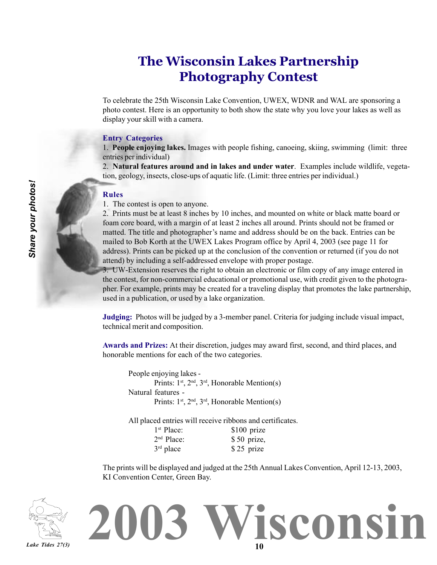# **The Wisconsin Lakes Partnership Photography Contest**

To celebrate the 25th Wisconsin Lake Convention, UWEX, WDNR and WAL are sponsoring a photo contest. Here is an opportunity to both show the state why you love your lakes as well as display your skill with a camera.

#### **Entry Categories**

1. **People enjoying lakes.** Images with people fishing, canoeing, skiing, swimming (limit: three entries per individual)

2. **Natural features around and in lakes and under water**. Examples include wildlife, vegetation, geology, insects, close-ups of aquatic life. (Limit: three entries per individual.)

#### **Rules**

1. The contest is open to anyone.

2. Prints must be at least 8 inches by 10 inches, and mounted on white or black matte board or foam core board, with a margin of at least 2 inches all around. Prints should not be framed or matted. The title and photographer's name and address should be on the back. Entries can be mailed to Bob Korth at the UWEX Lakes Program office by April 4, 2003 (see page 11 for address). Prints can be picked up at the conclusion of the convention or returned (if you do not attend) by including a self-addressed envelope with proper postage.

3. UW-Extension reserves the right to obtain an electronic or film copy of any image entered in the contest, for non-commercial educational or promotional use, with credit given to the photographer. For example, prints may be created for a traveling display that promotes the lake partnership, used in a publication, or used by a lake organization.

**Judging:** Photos will be judged by a 3-member panel. Criteria for judging include visual impact, technical merit and composition.

**Awards and Prizes:** At their discretion, judges may award first, second, and third places, and honorable mentions for each of the two categories.

People enjoying lakes - Prints:  $1^{st}$ ,  $2^{nd}$ ,  $3^{rd}$ , Honorable Mention(s) Natural features - Prints: 1<sup>st</sup>, 2<sup>nd</sup>, 3<sup>rd</sup>, Honorable Mention(s)

All placed entries will receive ribbons and certificates.

| 1 <sup>st</sup> Place: | $$100$ prize |
|------------------------|--------------|
| 2 <sup>nd</sup> Place: | $$50$ prize, |
| $3rd$ place            | \$25 prize   |

The prints will be displayed and judged at the 25th Annual Lakes Convention, April 12-13, 2003, KI Convention Center, Green Bay.

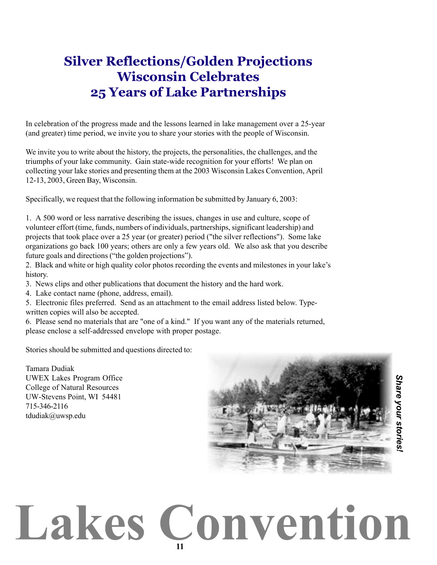# **Silver Reflections/Golden Projections Wisconsin Celebrates 25 Years of Lake Partnerships**

In celebration of the progress made and the lessons learned in lake management over a 25-year (and greater) time period, we invite you to share your stories with the people of Wisconsin.

We invite you to write about the history, the projects, the personalities, the challenges, and the triumphs of your lake community. Gain state-wide recognition for your efforts! We plan on collecting your lake stories and presenting them at the 2003 Wisconsin Lakes Convention, April 12-13, 2003, Green Bay, Wisconsin.

Specifically, we request that the following information be submitted by January 6, 2003:

1. A 500 word or less narrative describing the issues, changes in use and culture, scope of volunteer effort (time, funds, numbers of individuals, partnerships, significant leadership) and projects that took place over a 25 year (or greater) period ("the silver reflections"). Some lake organizations go back 100 years; others are only a few years old. We also ask that you describe future goals and directions ("the golden projections").

2. Black and white or high quality color photos recording the events and milestones in your lake's history.

3. News clips and other publications that document the history and the hard work.

4. Lake contact name (phone, address, email).

5. Electronic files preferred. Send as an attachment to the email address listed below. Typewritten copies will also be accepted.

6. Please send no materials that are "one of a kind." If you want any of the materials returned, please enclose a self-addressed envelope with proper postage.

Stories should be submitted and questions directed to:

Tamara Dudiak UWEX Lakes Program Office College of Natural Resources UW-Stevens Point, WI 54481 715-346-2116 tdudiak@uwsp.edu

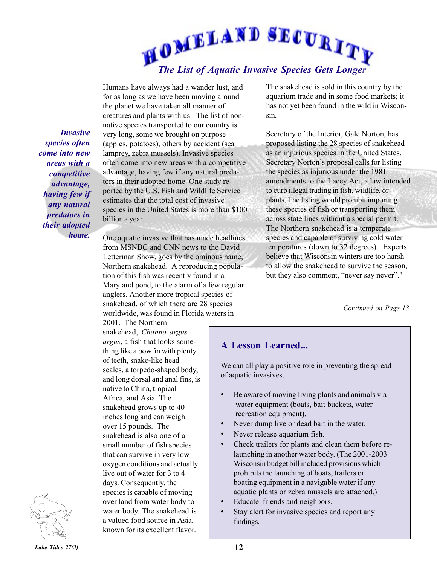

*Invasive species often come into new areas with a competitive advantage, having few if any natural predators in their adopted home.*

Humans have always had a wander lust, and for as long as we have been moving around the planet we have taken all manner of creatures and plants with us. The list of nonnative species transported to our country is very long, some we brought on purpose (apples, potatoes), others by accident (sea lamprey, zebra mussels). Invasive species often come into new areas with a competitive advantage, having few if any natural predators in their adopted home. One study reported by the U.S. Fish and Wildlife Service estimates that the total cost of invasive species in the United States is more than \$100 billion a year.

One aquatic invasive that has made headlines from MSNBC and CNN news to the David Letterman Show, goes by the ominous name, Northern snakehead. A reproducing population of this fish was recently found in a Maryland pond, to the alarm of a few regular anglers. Another more tropical species of snakehead, of which there are 28 species worldwide, was found in Florida waters in

2001. The Northern snakehead, *Channa argus argus*, a fish that looks something like a bowfin with plenty of teeth, snake-like head scales, a torpedo-shaped body, and long dorsal and anal fins, is native to China, tropical Africa, and Asia. The snakehead grows up to 40 inches long and can weigh over 15 pounds. The snakehead is also one of a small number of fish species that can survive in very low oxygen conditions and actually live out of water for 3 to 4 days. Consequently, the species is capable of moving over land from water body to water body. The snakehead is a valued food source in Asia, known for its excellent flavor.

The snakehead is sold in this country by the aquarium trade and in some food markets; it has not yet been found in the wild in Wisconsin.

Secretary of the Interior, Gale Norton, has proposed listing the 28 species of snakehead as an injurious species in the United States. Secretary Norton's proposal calls for listing the species as injurious under the 1981 amendments to the Lacey Act, a law intended to curb illegal trading in fish, wildlife, or plants. The listing would prohibit importing these species of fish or transporting them across state lines without a special permit. The Northern snakehead is a temperate species and capable of surviving cold water temperatures (down to 32 degrees). Experts believe that Wisconsin winters are too harsh to allow the snakehead to survive the season, but they also comment, "never say never"."

*Continued on Page 13*

## **A Lesson Learned...**

We can all play a positive role in preventing the spread of aquatic invasives.

- Be aware of moving living plants and animals via water equipment (boats, bait buckets, water recreation equipment).
- Never dump live or dead bait in the water.
- Never release aquarium fish.
- Check trailers for plants and clean them before relaunching in another water body. (The 2001-2003 Wisconsin budget bill included provisions which prohibits the launching of boats, trailers or boating equipment in a navigable water if any aquatic plants or zebra mussels are attached.)
- Educate friends and neighbors.
- Stay alert for invasive species and report any findings.

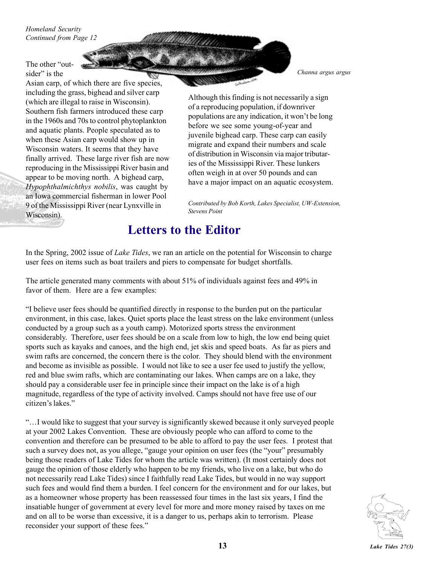*Homeland Security Continued from Page 12*

The other "outsider" is the

Asian carp, of which there are five species, including the grass, bighead and silver carp (which are illegal to raise in Wisconsin). Southern fish farmers introduced these carp in the 1960s and 70s to control phytoplankton and aquatic plants. People speculated as to when these Asian carp would show up in Wisconsin waters. It seems that they have finally arrived. These large river fish are now reproducing in the Mississippi River basin and appear to be moving north. A bighead carp, *Hypophthalmichthys nobilis*, was caught by an Iowa commercial fisherman in lower Pool 9 of the Mississippi River (near Lynxville in Wisconsin).

*Channa argus argus*

Although this finding is not necessarily a sign of a reproducing population, if downriver populations are any indication, it won't be long before we see some young-of-year and juvenile bighead carp. These carp can easily migrate and expand their numbers and scale of distribution in Wisconsin via major tributaries of the Mississippi River. These lunkers often weigh in at over 50 pounds and can have a major impact on an aquatic ecosystem.

*Contributed by Bob Korth, Lakes Specialist, UW-Extension, Stevens Point*

## **Letters to the Editor**

In the Spring, 2002 issue of *Lake Tides*, we ran an article on the potential for Wisconsin to charge user fees on items such as boat trailers and piers to compensate for budget shortfalls.

The article generated many comments with about 51% of individuals against fees and 49% in favor of them. Here are a few examples:

ìI believe user fees should be quantified directly in response to the burden put on the particular environment, in this case, lakes. Quiet sports place the least stress on the lake environment (unless conducted by a group such as a youth camp). Motorized sports stress the environment considerably. Therefore, user fees should be on a scale from low to high, the low end being quiet sports such as kayaks and canoes, and the high end, jet skis and speed boats. As far as piers and swim rafts are concerned, the concern there is the color. They should blend with the environment and become as invisible as possible. I would not like to see a user fee used to justify the yellow, red and blue swim rafts, which are contaminating our lakes. When camps are on a lake, they should pay a considerable user fee in principle since their impact on the lake is of a high magnitude, regardless of the type of activity involved. Camps should not have free use of our citizen's lakes."

ìÖI would like to suggest that your survey is significantly skewed because it only surveyed people at your 2002 Lakes Convention. These are obviously people who can afford to come to the convention and therefore can be presumed to be able to afford to pay the user fees. I protest that such a survey does not, as you allege, "gauge your opinion on user fees (the "your" presumably being those readers of Lake Tides for whom the article was written). (It most certainly does not gauge the opinion of those elderly who happen to be my friends, who live on a lake, but who do not necessarily read Lake Tides) since I faithfully read Lake Tides, but would in no way support such fees and would find them a burden. I feel concern for the environment and for our lakes, but as a homeowner whose property has been reassessed four times in the last six years, I find the insatiable hunger of government at every level for more and more money raised by taxes on me and on all to be worse than excessive, it is a danger to us, perhaps akin to terrorism. Please reconsider your support of these fees."

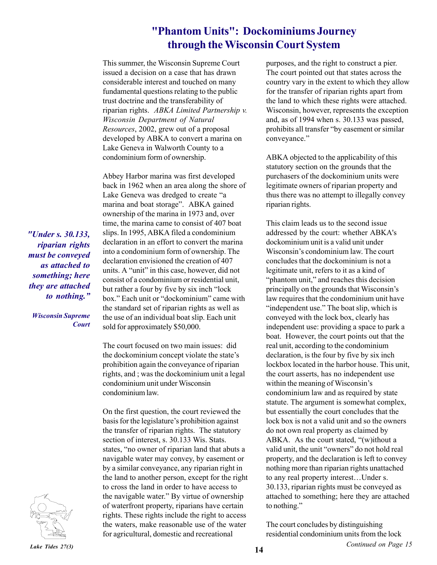## **"Phantom Units": Dockominiums Journey through the Wisconsin Court System**

This summer, the Wisconsin Supreme Court issued a decision on a case that has drawn considerable interest and touched on many fundamental questions relating to the public trust doctrine and the transferability of riparian rights. *ABKA Limited Partnership v. Wisconsin Department of Natural Resources*, 2002, grew out of a proposal developed by ABKA to convert a marina on Lake Geneva in Walworth County to a condominium form of ownership.

Abbey Harbor marina was first developed back in 1962 when an area along the shore of Lake Geneva was dredged to create "a marina and boat storage". ABKA gained ownership of the marina in 1973 and, over time, the marina came to consist of 407 boat slips. In 1995, ABKA filed a condominium declaration in an effort to convert the marina into a condominium form of ownership. The declaration envisioned the creation of 407 units. A "unit" in this case, however, did not consist of a condominium or residential unit, but rather a four by five by six inch "lock box." Each unit or "dockominium" came with the standard set of riparian rights as well as the use of an individual boat slip. Each unit sold for approximately \$50,000.

The court focused on two main issues: did the dockominium concept violate the state's prohibition again the conveyance of riparian rights, and ; was the dockominium unit a legal condominium unit under Wisconsin condominium law.

On the first question, the court reviewed the basis for the legislature's prohibition against the transfer of riparian rights. The statutory section of interest, s. 30.133 Wis. Stats. states, "no owner of riparian land that abuts a navigable water may convey, by easement or by a similar conveyance, any riparian right in the land to another person, except for the right to cross the land in order to have access to the navigable water." By virtue of ownership of waterfront property, riparians have certain rights. These rights include the right to access the waters, make reasonable use of the water for agricultural, domestic and recreational

purposes, and the right to construct a pier. The court pointed out that states across the country vary in the extent to which they allow for the transfer of riparian rights apart from the land to which these rights were attached. Wisconsin, however, represents the exception and, as of 1994 when s. 30.133 was passed, prohibits all transfer "by easement or similar conveyance."

ABKA objected to the applicability of this statutory section on the grounds that the purchasers of the dockominium units were legitimate owners of riparian property and thus there was no attempt to illegally convey riparian rights.

This claim leads us to the second issue addressed by the court: whether ABKA's dockominium unit is a valid unit under Wisconsin's condominium law. The court concludes that the dockominium is not a legitimate unit, refers to it as a kind of "phantom unit," and reaches this decision principally on the grounds that Wisconsin's law requires that the condominium unit have "independent use." The boat slip, which is conveyed with the lock box, clearly has independent use: providing a space to park a boat. However, the court points out that the real unit, according to the condominium declaration, is the four by five by six inch lockbox located in the harbor house. This unit, the court asserts, has no independent use within the meaning of Wisconsin's condominium law and as required by state statute. The argument is somewhat complex, but essentially the court concludes that the lock box is not a valid unit and so the owners do not own real property as claimed by ABKA. As the court stated,  $\lq(w)$ ithout a valid unit, the unit "owners" do not hold real property, and the declaration is left to convey nothing more than riparian rights unattached to any real property interest...Under s. 30.133, riparian rights must be conveyed as attached to something; here they are attached to nothing."

The court concludes by distinguishing residential condominium units from the lock

*Continued on Page 15*

*"Under s. 30.133, riparian rights must be conveyed as attached to something; here they are attached* to nothing."

*Wisconsin Supreme Court*



*Lake Tides 27(3)* **14**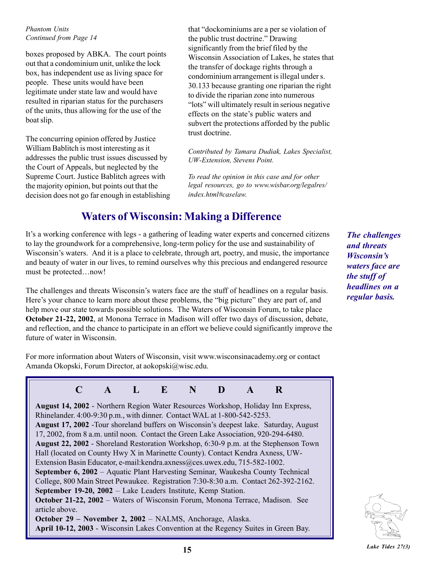*Phantom Units Continued from Page 14*

boxes proposed by ABKA. The court points out that a condominium unit, unlike the lock box, has independent use as living space for people. These units would have been legitimate under state law and would have resulted in riparian status for the purchasers of the units, thus allowing for the use of the boat slip.

The concurring opinion offered by Justice William Bablitch is most interesting as it addresses the public trust issues discussed by the Court of Appeals, but neglected by the Supreme Court. Justice Bablitch agrees with the majority opinion, but points out that the decision does not go far enough in establishing that "dockominiums are a per se violation of the public trust doctrine." Drawing significantly from the brief filed by the Wisconsin Association of Lakes, he states that the transfer of dockage rights through a condominium arrangement is illegal under s. 30.133 because granting one riparian the right to divide the riparian zone into numerous "lots" will ultimately result in serious negative" effects on the state's public waters and subvert the protections afforded by the public trust doctrine.

*Contributed by Tamara Dudiak, Lakes Specialist, UW-Extension, Stevens Point.*

*To read the opinion in this case and for other legal resources, go to www.wisbar.org/legalres/ index.html#caselaw.*

## **Waters of Wisconsin: Making a Difference**

Itís a working conference with legs - a gathering of leading water experts and concerned citizens to lay the groundwork for a comprehensive, long-term policy for the use and sustainability of Wisconsin's waters. And it is a place to celebrate, through art, poetry, and music, the importance and beauty of water in our lives, to remind ourselves why this precious and endangered resource must be protected...now!

The challenges and threats Wisconsin's waters face are the stuff of headlines on a regular basis. Here's your chance to learn more about these problems, the "big picture" they are part of, and help move our state towards possible solutions. The Waters of Wisconsin Forum, to take place **October 21-22, 2002**, at Monona Terrace in Madison will offer two days of discussion, debate, and reflection, and the chance to participate in an effort we believe could significantly improve the future of water in Wisconsin.

For more information about Waters of Wisconsin, visit www.wisconsinacademy.org or contact Amanda Okopski, Forum Director, at aokopski@wisc.edu.

**C A L E N D A R August 14, 2002** - Northern Region Water Resources Workshop, Holiday Inn Express, Rhinelander. 4:00-9:30 p.m., with dinner. Contact WAL at 1-800-542-5253. **August 17, 2002** -Tour shoreland buffers on Wisconsinís deepest lake. Saturday, August 17, 2002, from 8 a.m. until noon. Contact the Green Lake Association, 920-294-6480. **August 22, 2002** - Shoreland Restoration Workshop, 6:30-9 p.m. at the Stephenson Town Hall (located on County Hwy X in Marinette County). Contact Kendra Axness, UW-Extension Basin Educator, e-mail: kendra.axness@ces.uwex.edu, 715-582-1002. **September 6, 2002** – Aquatic Plant Harvesting Seminar, Waukesha County Technical College, 800 Main Street Pewaukee. Registration 7:30-8:30 a.m. Contact 262-392-2162. **September 19-20, 2002** – Lake Leaders Institute, Kemp Station. **October 21-22, 2002** – Waters of Wisconsin Forum, Monona Terrace, Madison. See article above. **October 29 - November 2, 2002** - NALMS, Anchorage, Alaska. **April 10-12, 2003** - Wisconsin Lakes Convention at the Regency Suites in Green Bay.

*The challenges and threats Wisconsin's waters face are the stuff of headlines on a regular basis.*